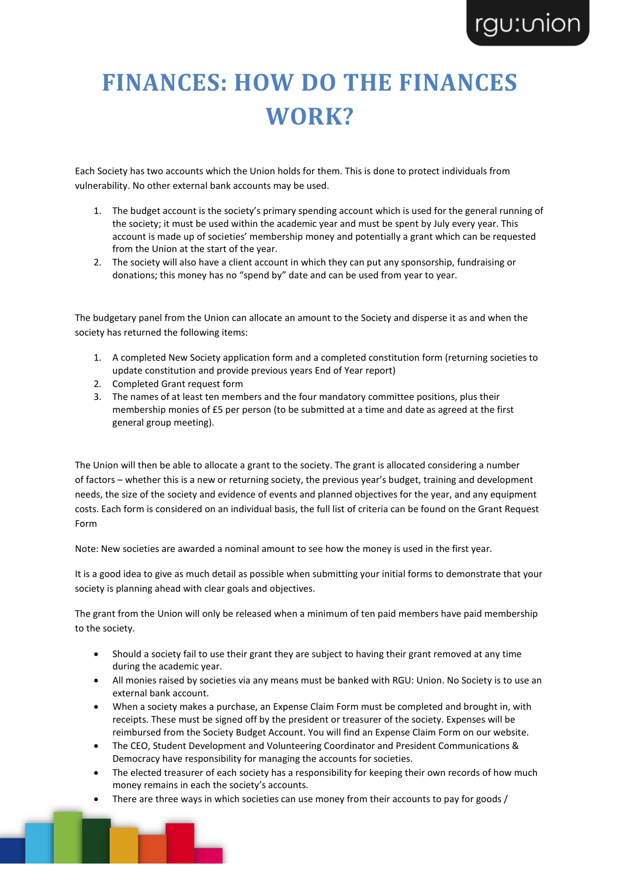# **FINANCES: HOW DO THE FINANCES WORK?**

Each Society has two accounts which the Union holds for them. This is done to protect individuals from vulnerability. No other external bank accounts may be used.

- 1. The budget account is the society's primary spending account which is used for the general running of the society; it must be used within the academic year and must be spent by July every year. This account is made up of societies' membership money and potentially a grant which can be requested from the Union at the start of the year.
- 2. The society will also have a client account in which they can put any sponsorship, fundraising or donations; this money has no "spend by" date and can be used from year to year.

The budgetary panel from the Union can allocate an amount to the Society and disperse it as and when the society has returned the following items:

- 1. A completed New Society application form and a completed constitution form (returning societies to update constitution and provide previous years End of Year report)
- 2. Completed Grant request form
- 3. The names of at least ten members and the four mandatory committee positions, plus their membership monies of £5 per person (to be submitted at a time and date as agreed at the first general group meeting).

The Union will then be able to allocate a grant to the society. The grant is allocated considering a number of factors – whether this is a new or returning society, the previous year's budget, training and development needs, the size of the society and evidence of events and planned objectives for the year, and any equipment costs. Each form is considered on an individual basis, the full list of criteria can be found on the Grant Request Form

Note: New societies are awarded a nominal amount to see how the money is used in the first year.

It is a good idea to give as much detail as possible when submitting your initial forms to demonstrate that your society is planning ahead with clear goals and objectives.

The grant from the Union will only be released when a minimum of ten paid members have paid membership to the society.

- Should a society fail to use their grant they are subject to having their grant removed at any time during the academic year.
- All monies raised by societies via any means must be banked with RGU: Union. No Society is to use an external bank account.
- When a society makes a purchase, an Expense Claim Form must be completed and brought in, with receipts. These must be signed off by the president or treasurer of the society. Expenses will be reimbursed from the Society Budget Account. You will find an Expense Claim Form on our website.
- The CEO, Student Development and Volunteering Coordinator and President Communications & Democracy have responsibility for managing the accounts for societies.
- The elected treasurer of each society has a responsibility for keeping their own records of how much money remains in each the society's accounts.
- There are three ways in which societies can use money from their accounts to pay for goods /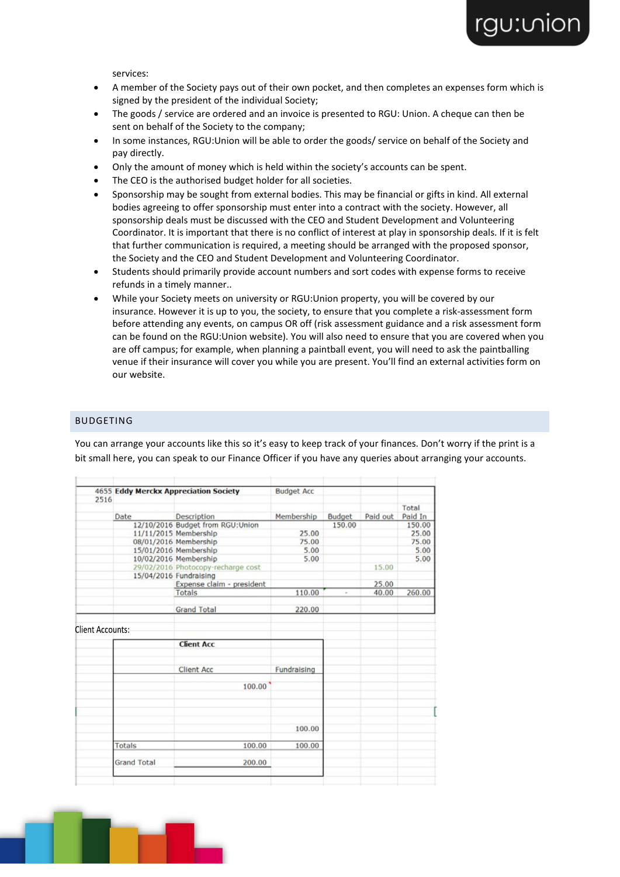services:

- A member of the Society pays out of their own pocket, and then completes an expenses form which is signed by the president of the individual Society;
- The goods / service are ordered and an invoice is presented to RGU: Union. A cheque can then be sent on behalf of the Society to the company;
- In some instances, RGU:Union will be able to order the goods/ service on behalf of the Society and pay directly.
- Only the amount of money which is held within the society's accounts can be spent.
- The CEO is the authorised budget holder for all societies.
- Sponsorship may be sought from external bodies. This may be financial or gifts in kind. All external bodies agreeing to offer sponsorship must enter into a contract with the society. However, all sponsorship deals must be discussed with the CEO and Student Development and Volunteering Coordinator. It is important that there is no conflict of interest at play in sponsorship deals. If it is felt that further communication is required, a meeting should be arranged with the proposed sponsor, the Society and the CEO and Student Development and Volunteering Coordinator.
- Students should primarily provide account numbers and sort codes with expense forms to receive refunds in a timely manner..
- While your Society meets on university or RGU:Union property, you will be covered by our insurance. However it is up to you, the society, to ensure that you complete a risk-assessment form before attending any events, on campus OR off (risk assessment guidance and a risk assessment form can be found on the RGU:Union website). You will also need to ensure that you are covered when you are off campus; for example, when planning a paintball event, you will need to ask the paintballing venue if their insurance will cover you while you are present. You'll find an external activities form on our website.

### BUDGETING

You can arrange your accounts like this so it's easy to keep track of your finances. Don't worry if the print is a bit small here, you can speak to our Finance Officer if you have any queries about arranging your accounts.

|                         |             | <b>4655 Eddy Merckx Appreciation Society</b> | <b>Budget Acc</b> |        |          |         |
|-------------------------|-------------|----------------------------------------------|-------------------|--------|----------|---------|
| 2516                    |             |                                              |                   |        |          | Total   |
|                         | Date        | Description                                  | Membership        | Budget | Paid out | Paid In |
|                         |             | 12/10/2016 Budget from RGU:Union             |                   | 150.00 |          | 150.00  |
|                         |             | 11/11/2015 Membership                        | 25.00             |        |          | 25.00   |
|                         |             | 08/01/2016 Membership                        | 75.00             |        |          | 75.00   |
|                         |             | 15/01/2016 Membership                        | 5.00              |        |          | 5.00    |
|                         |             | 10/02/2016 Membership                        | 5.00              |        |          | 5.00    |
|                         |             | 29/02/2016 Photocopy-recharge cost           |                   |        | 15.00    |         |
|                         |             | 15/04/2016 Fundraising                       |                   |        |          |         |
|                         |             | Expense claim - president                    |                   |        | 25.00    |         |
|                         |             | Totals                                       | 110.00            |        | 40.00    | 260.00  |
|                         |             | <b>Grand Total</b>                           | 220.00            |        |          |         |
| <b>Client Accounts:</b> |             |                                              |                   |        |          |         |
|                         |             | <b>Client Acc</b>                            |                   |        |          |         |
|                         |             | <b>Client Acc</b>                            | Fundraising       |        |          |         |
|                         |             | 100.00                                       |                   |        |          |         |
|                         |             |                                              |                   |        |          |         |
|                         |             |                                              | 100.00            |        |          |         |
|                         | Totals      | 100.00                                       | 100.00            |        |          |         |
|                         | Grand Total | 200.00                                       |                   |        |          |         |

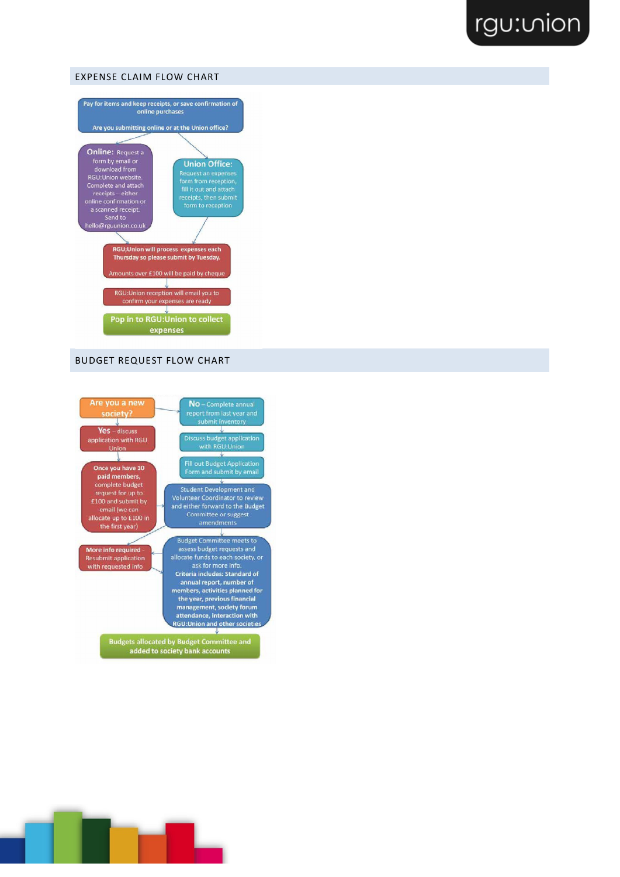### EXPENSE CLAIM FLOW CHART



### BUDGET REQUEST FLOW CHART



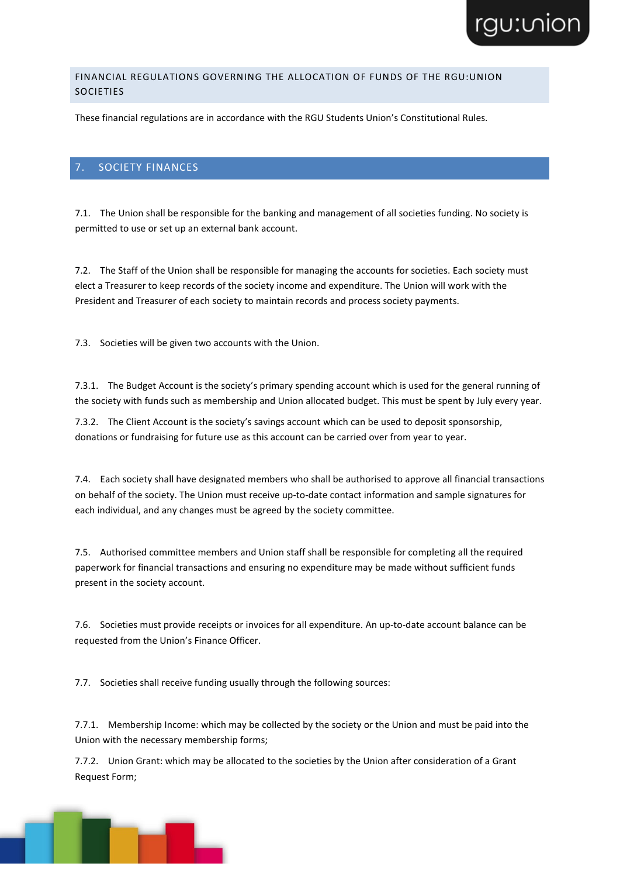### FINANCIAL REGULATIONS GOVERNING THE ALLOCATION OF FUNDS OF THE RGU:UNION SOCIETIES

These financial regulations are in accordance with the RGU Students Union's Constitutional Rules.

### 7. SOCIETY FINANCES

7.1. The Union shall be responsible for the banking and management of all societies funding. No society is permitted to use or set up an external bank account.

7.2. The Staff of the Union shall be responsible for managing the accounts for societies. Each society must elect a Treasurer to keep records of the society income and expenditure. The Union will work with the President and Treasurer of each society to maintain records and process society payments.

7.3. Societies will be given two accounts with the Union.

7.3.1. The Budget Account is the society's primary spending account which is used for the general running of the society with funds such as membership and Union allocated budget. This must be spent by July every year.

7.3.2. The Client Account is the society's savings account which can be used to deposit sponsorship, donations or fundraising for future use as this account can be carried over from year to year.

7.4. Each society shall have designated members who shall be authorised to approve all financial transactions on behalf of the society. The Union must receive up-to-date contact information and sample signatures for each individual, and any changes must be agreed by the society committee.

7.5. Authorised committee members and Union staff shall be responsible for completing all the required paperwork for financial transactions and ensuring no expenditure may be made without sufficient funds present in the society account.

7.6. Societies must provide receipts or invoices for all expenditure. An up-to-date account balance can be requested from the Union's Finance Officer.

7.7. Societies shall receive funding usually through the following sources:

7.7.1. Membership Income: which may be collected by the society or the Union and must be paid into the Union with the necessary membership forms;

7.7.2. Union Grant: which may be allocated to the societies by the Union after consideration of a Grant Request Form;

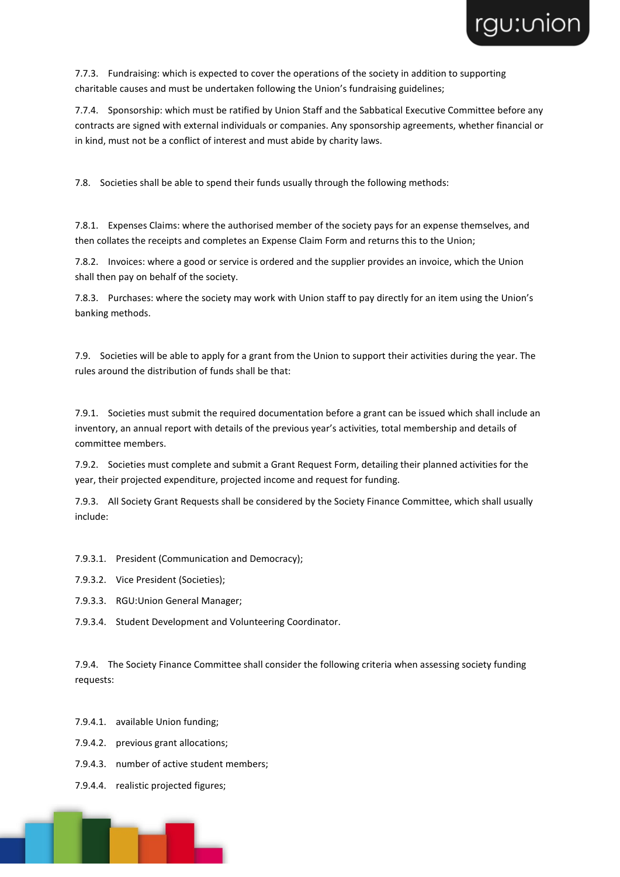

7.7.3. Fundraising: which is expected to cover the operations of the society in addition to supporting charitable causes and must be undertaken following the Union's fundraising guidelines;

7.7.4. Sponsorship: which must be ratified by Union Staff and the Sabbatical Executive Committee before any contracts are signed with external individuals or companies. Any sponsorship agreements, whether financial or in kind, must not be a conflict of interest and must abide by charity laws.

7.8. Societies shall be able to spend their funds usually through the following methods:

7.8.1. Expenses Claims: where the authorised member of the society pays for an expense themselves, and then collates the receipts and completes an Expense Claim Form and returns this to the Union;

7.8.2. Invoices: where a good or service is ordered and the supplier provides an invoice, which the Union shall then pay on behalf of the society.

7.8.3. Purchases: where the society may work with Union staff to pay directly for an item using the Union's banking methods.

7.9. Societies will be able to apply for a grant from the Union to support their activities during the year. The rules around the distribution of funds shall be that:

7.9.1. Societies must submit the required documentation before a grant can be issued which shall include an inventory, an annual report with details of the previous year's activities, total membership and details of committee members.

7.9.2. Societies must complete and submit a Grant Request Form, detailing their planned activities for the year, their projected expenditure, projected income and request for funding.

7.9.3. All Society Grant Requests shall be considered by the Society Finance Committee, which shall usually include:

7.9.3.1. President (Communication and Democracy);

- 7.9.3.2. Vice President (Societies);
- 7.9.3.3. RGU:Union General Manager;
- 7.9.3.4. Student Development and Volunteering Coordinator.

7.9.4. The Society Finance Committee shall consider the following criteria when assessing society funding requests:

- 7.9.4.1. available Union funding;
- 7.9.4.2. previous grant allocations;
- 7.9.4.3. number of active student members;
- 7.9.4.4. realistic projected figures;

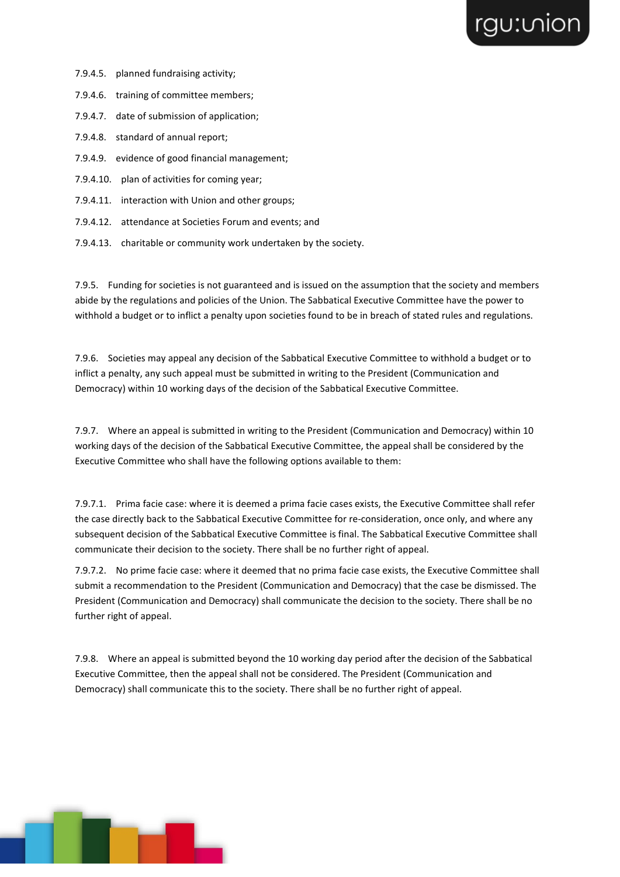- 7.9.4.5. planned fundraising activity;
- 7.9.4.6. training of committee members;
- 7.9.4.7. date of submission of application;
- 7.9.4.8. standard of annual report;
- 7.9.4.9. evidence of good financial management;
- 7.9.4.10. plan of activities for coming year;
- 7.9.4.11. interaction with Union and other groups;
- 7.9.4.12. attendance at Societies Forum and events; and
- 7.9.4.13. charitable or community work undertaken by the society.

7.9.5. Funding for societies is not guaranteed and is issued on the assumption that the society and members abide by the regulations and policies of the Union. The Sabbatical Executive Committee have the power to withhold a budget or to inflict a penalty upon societies found to be in breach of stated rules and regulations.

7.9.6. Societies may appeal any decision of the Sabbatical Executive Committee to withhold a budget or to inflict a penalty, any such appeal must be submitted in writing to the President (Communication and Democracy) within 10 working days of the decision of the Sabbatical Executive Committee.

7.9.7. Where an appeal is submitted in writing to the President (Communication and Democracy) within 10 working days of the decision of the Sabbatical Executive Committee, the appeal shall be considered by the Executive Committee who shall have the following options available to them:

7.9.7.1. Prima facie case: where it is deemed a prima facie cases exists, the Executive Committee shall refer the case directly back to the Sabbatical Executive Committee for re-consideration, once only, and where any subsequent decision of the Sabbatical Executive Committee is final. The Sabbatical Executive Committee shall communicate their decision to the society. There shall be no further right of appeal.

7.9.7.2. No prime facie case: where it deemed that no prima facie case exists, the Executive Committee shall submit a recommendation to the President (Communication and Democracy) that the case be dismissed. The President (Communication and Democracy) shall communicate the decision to the society. There shall be no further right of appeal.

7.9.8. Where an appeal is submitted beyond the 10 working day period after the decision of the Sabbatical Executive Committee, then the appeal shall not be considered. The President (Communication and Democracy) shall communicate this to the society. There shall be no further right of appeal.

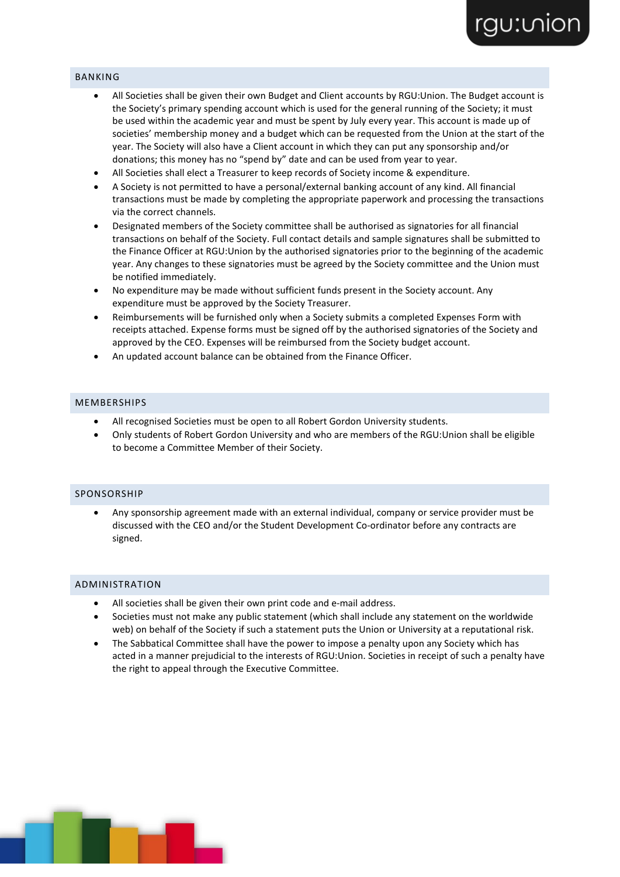### BANKING

- All Societies shall be given their own Budget and Client accounts by RGU:Union. The Budget account is the Society's primary spending account which is used for the general running of the Society; it must be used within the academic year and must be spent by July every year. This account is made up of societies' membership money and a budget which can be requested from the Union at the start of the year. The Society will also have a Client account in which they can put any sponsorship and/or donations; this money has no "spend by" date and can be used from year to year.
- All Societies shall elect a Treasurer to keep records of Society income & expenditure.
- A Society is not permitted to have a personal/external banking account of any kind. All financial transactions must be made by completing the appropriate paperwork and processing the transactions via the correct channels.
- Designated members of the Society committee shall be authorised as signatories for all financial transactions on behalf of the Society. Full contact details and sample signatures shall be submitted to the Finance Officer at RGU:Union by the authorised signatories prior to the beginning of the academic year. Any changes to these signatories must be agreed by the Society committee and the Union must be notified immediately.
- No expenditure may be made without sufficient funds present in the Society account. Any expenditure must be approved by the Society Treasurer.
- Reimbursements will be furnished only when a Society submits a completed Expenses Form with receipts attached. Expense forms must be signed off by the authorised signatories of the Society and approved by the CEO. Expenses will be reimbursed from the Society budget account.
- An updated account balance can be obtained from the Finance Officer.

### MEMBERSHIPS

- All recognised Societies must be open to all Robert Gordon University students.
- Only students of Robert Gordon University and who are members of the RGU:Union shall be eligible to become a Committee Member of their Society.

#### SPONSORSHIP

• Any sponsorship agreement made with an external individual, company or service provider must be discussed with the CEO and/or the Student Development Co-ordinator before any contracts are signed.

#### ADMINISTRATION

- All societies shall be given their own print code and e-mail address.
- Societies must not make any public statement (which shall include any statement on the worldwide web) on behalf of the Society if such a statement puts the Union or University at a reputational risk.
- The Sabbatical Committee shall have the power to impose a penalty upon any Society which has acted in a manner prejudicial to the interests of RGU:Union. Societies in receipt of such a penalty have the right to appeal through the Executive Committee.